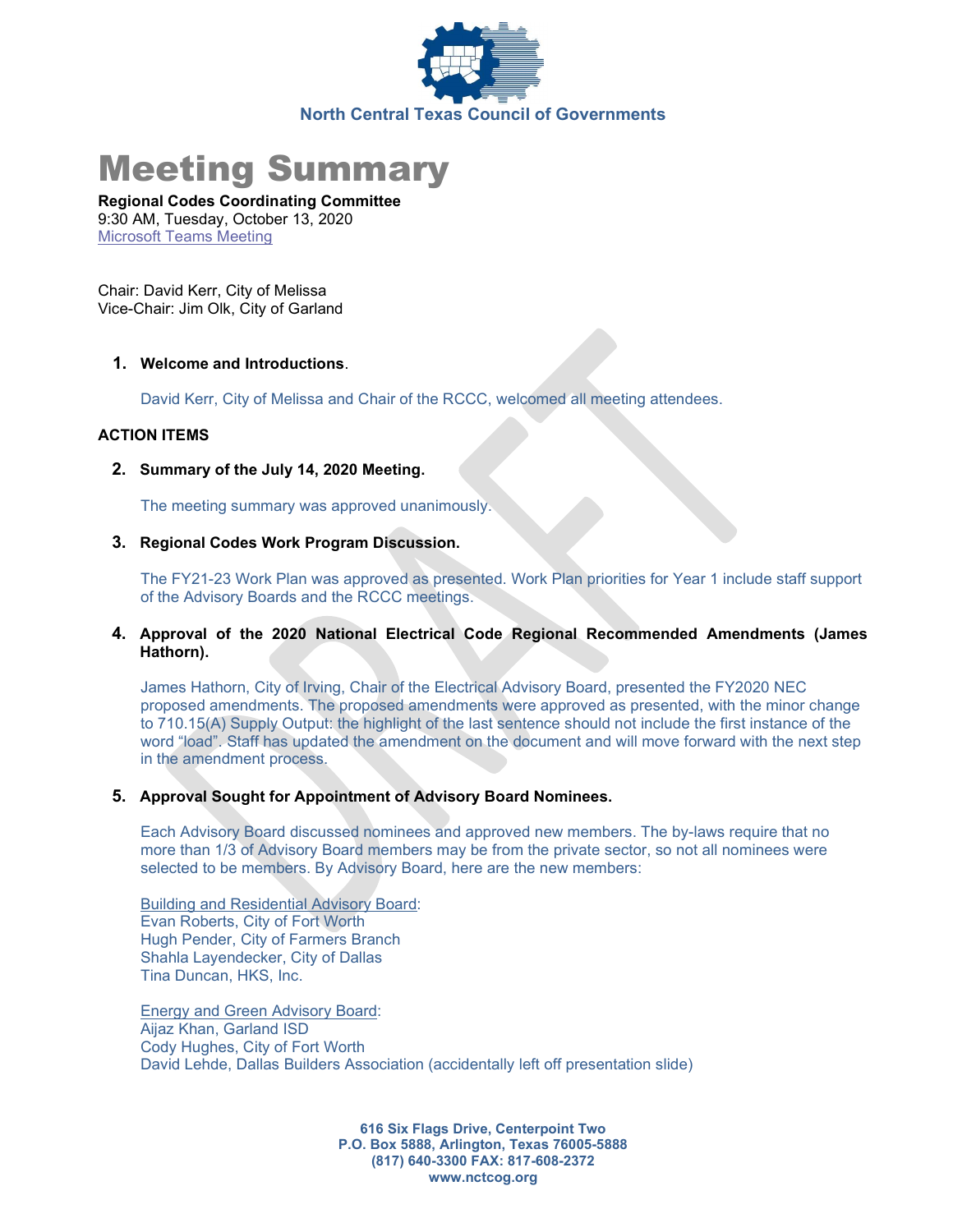

# Meeting Summary

Regional Codes Coordinating Committee 9:30 AM, Tuesday, October 13, 2020 Microsoft Teams Meeting

Chair: David Kerr, City of Melissa Vice-Chair: Jim Olk, City of Garland

## 1. Welcome and Introductions.

David Kerr, City of Melissa and Chair of the RCCC, welcomed all meeting attendees.

## ACTION ITEMS

2. Summary of the July 14, 2020 Meeting.

The meeting summary was approved unanimously.

3. Regional Codes Work Program Discussion.

The FY21-23 Work Plan was approved as presented. Work Plan priorities for Year 1 include staff support of the Advisory Boards and the RCCC meetings.

4. Approval of the 2020 National Electrical Code Regional Recommended Amendments (James Hathorn).

James Hathorn, City of Irving, Chair of the Electrical Advisory Board, presented the FY2020 NEC proposed amendments. The proposed amendments were approved as presented, with the minor change to 710.15(A) Supply Output: the highlight of the last sentence should not include the first instance of the word "load". Staff has updated the amendment on the document and will move forward with the next step in the amendment process.

#### 5. Approval Sought for Appointment of Advisory Board Nominees.

Each Advisory Board discussed nominees and approved new members. The by-laws require that no more than 1/3 of Advisory Board members may be from the private sector, so not all nominees were selected to be members. By Advisory Board, here are the new members:

Building and Residential Advisory Board: Evan Roberts, City of Fort Worth Hugh Pender, City of Farmers Branch Shahla Layendecker, City of Dallas Tina Duncan, HKS, Inc.

Energy and Green Advisory Board: Aijaz Khan, Garland ISD Cody Hughes, City of Fort Worth David Lehde, Dallas Builders Association (accidentally left off presentation slide)

> 616 Six Flags Drive, Centerpoint Two P.O. Box 5888, Arlington, Texas 76005-5888 (817) 640-3300 FAX: 817-608-2372 www.nctcog.org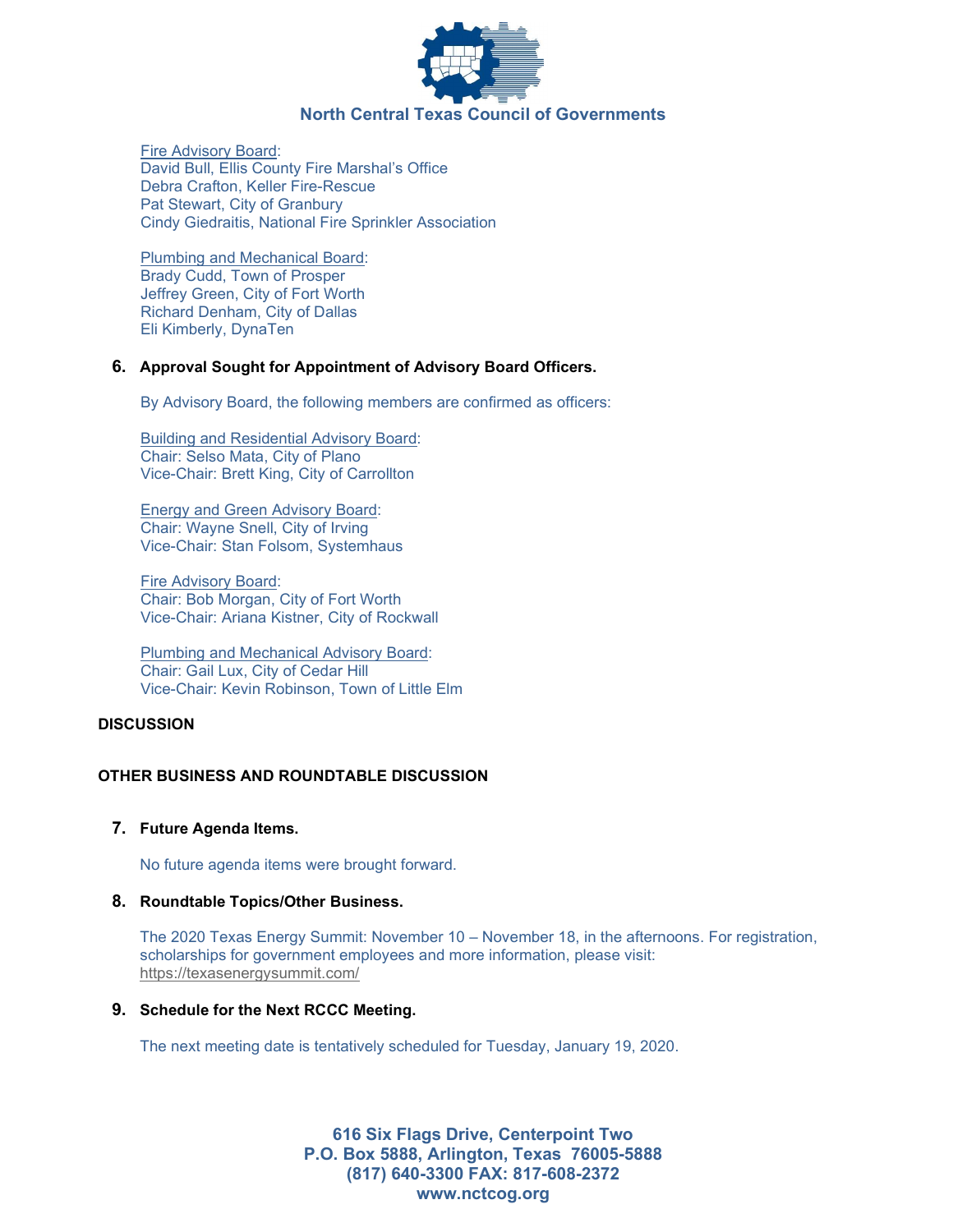

Fire Advisory Board: David Bull, Ellis County Fire Marshal's Office Debra Crafton, Keller Fire-Rescue Pat Stewart, City of Granbury Cindy Giedraitis, National Fire Sprinkler Association

Plumbing and Mechanical Board: Brady Cudd, Town of Prosper Jeffrey Green, City of Fort Worth Richard Denham, City of Dallas Eli Kimberly, DynaTen

#### 6. Approval Sought for Appointment of Advisory Board Officers.

By Advisory Board, the following members are confirmed as officers:

Building and Residential Advisory Board: Chair: Selso Mata, City of Plano Vice-Chair: Brett King, City of Carrollton

Energy and Green Advisory Board: Chair: Wayne Snell, City of Irving Vice-Chair: Stan Folsom, Systemhaus

Fire Advisory Board: Chair: Bob Morgan, City of Fort Worth Vice-Chair: Ariana Kistner, City of Rockwall

Plumbing and Mechanical Advisory Board: Chair: Gail Lux, City of Cedar Hill Vice-Chair: Kevin Robinson, Town of Little Elm

#### **DISCUSSION**

# OTHER BUSINESS AND ROUNDTABLE DISCUSSION

# 7. Future Agenda Items.

No future agenda items were brought forward.

#### 8. Roundtable Topics/Other Business.

The 2020 Texas Energy Summit: November 10 – November 18, in the afternoons. For registration, scholarships for government employees and more information, please visit: https://texasenergysummit.com/

# 9. Schedule for the Next RCCC Meeting.

The next meeting date is tentatively scheduled for Tuesday, January 19, 2020.

616 Six Flags Drive, Centerpoint Two P.O. Box 5888, Arlington, Texas 76005-5888 (817) 640-3300 FAX: 817-608-2372 www.nctcog.org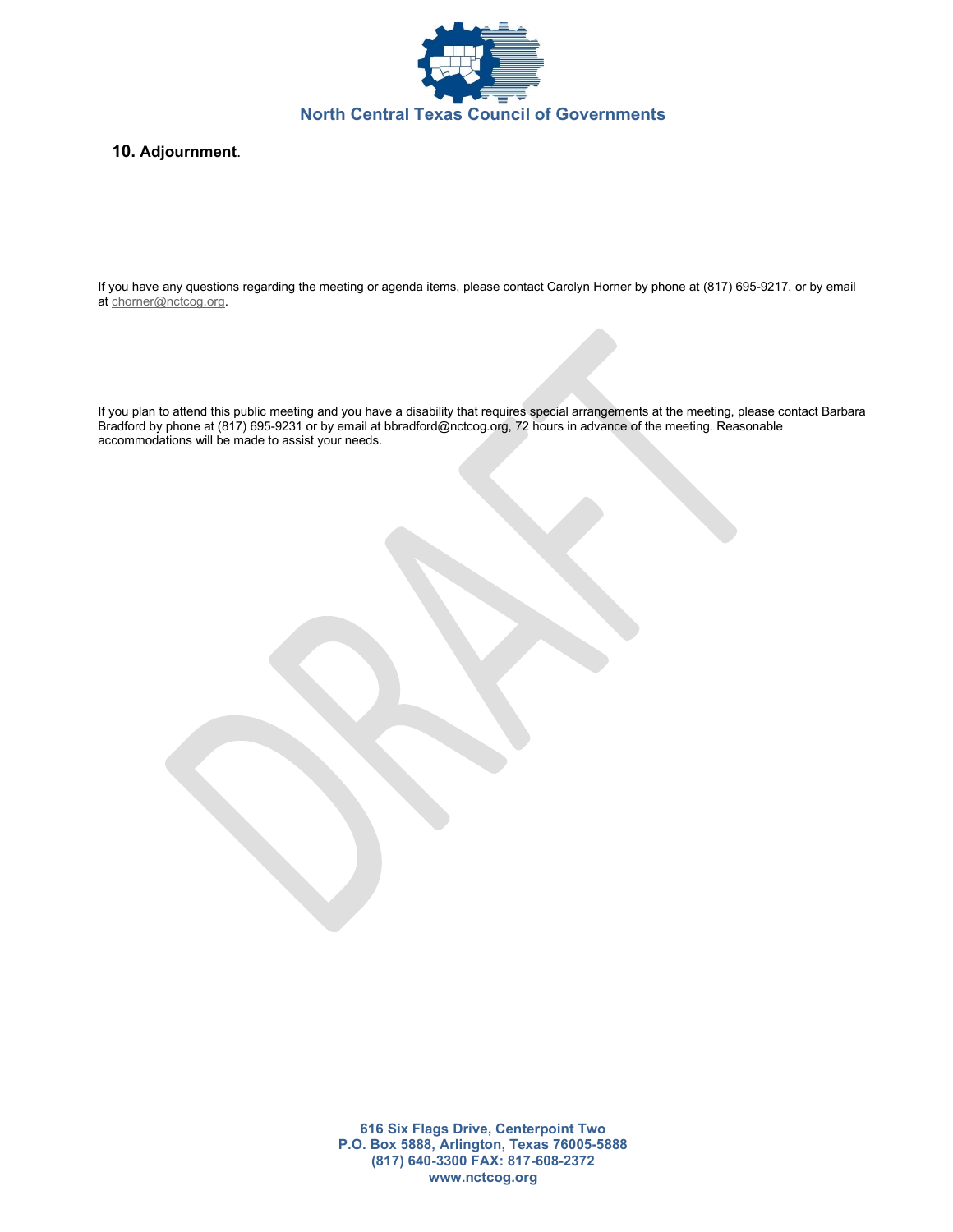

## 10. Adjournment.

If you have any questions regarding the meeting or agenda items, please contact Carolyn Horner by phone at (817) 695-9217, or by email at chorner@nctcog.org.

If you plan to attend this public meeting and you have a disability that requires special arrangements at the meeting, please contact Barbara Bradford by phone at (817) 695-9231 or by email at bbradford@nctcog.org, 72 hours in advance of the meeting. Reasonable accommodations will be made to assist your needs.

> 616 Six Flags Drive, Centerpoint Two P.O. Box 5888, Arlington, Texas 76005-5888 (817) 640-3300 FAX: 817-608-2372 www.nctcog.org